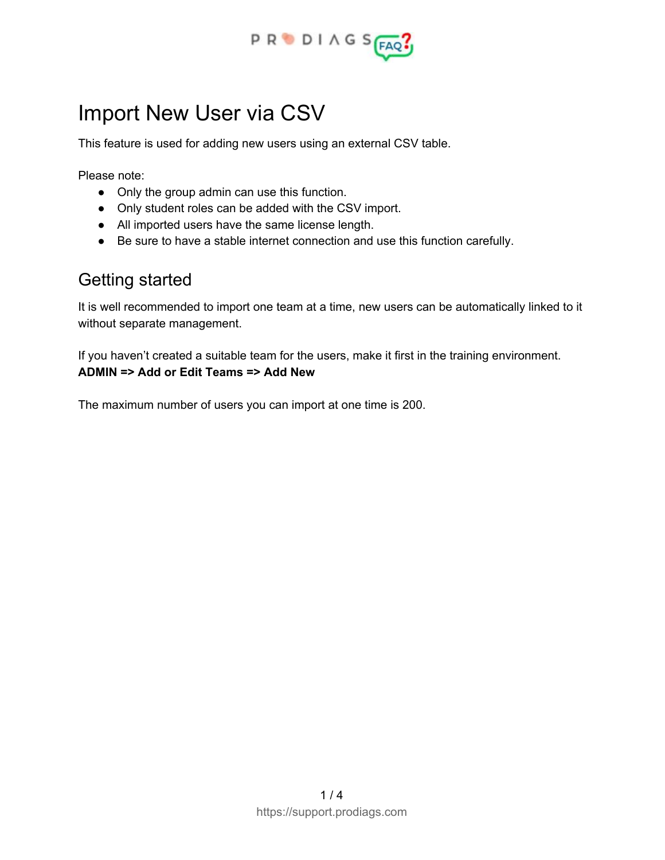

# Import New User via CSV

This feature is used for adding new users using an external CSV table.

Please note:

- Only the group admin can use this function.
- Only student roles can be added with the CSV import.
- All imported users have the same license length.
- Be sure to have a stable internet connection and use this function carefully.

### Getting started

It is well recommended to import one team at a time, new users can be automatically linked to it without separate management.

If you haven't created a suitable team for the users, make it first in the training environment. **ADMIN => Add or Edit Teams => Add New**

The maximum number of users you can import at one time is 200.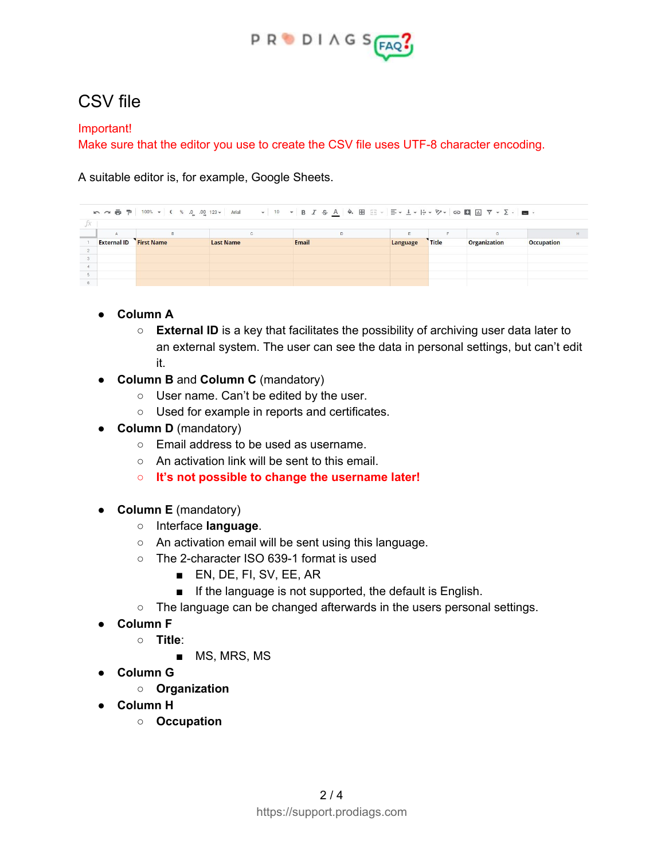

## CSV file

#### Important!

Make sure that the editor you use to create the CSV file uses UTF-8 character encoding.

A suitable editor is, for example, Google Sheets.

|                    |                   | $\mathbb{C}$     | D     |          |              | G                   |                   |
|--------------------|-------------------|------------------|-------|----------|--------------|---------------------|-------------------|
| <b>External ID</b> | <b>First Name</b> | <b>Last Name</b> | Email | Language | <b>Title</b> | <b>Organization</b> | <b>Occupation</b> |
|                    |                   |                  |       |          |              |                     |                   |
|                    |                   |                  |       |          |              |                     |                   |
|                    |                   |                  |       |          |              |                     |                   |
|                    |                   |                  |       |          |              |                     |                   |
|                    |                   |                  |       |          |              |                     |                   |

### **● Column A**

- **External ID** is a key that facilitates the possibility of archiving user data later to an external system. The user can see the data in personal settings, but can't edit it.
- **Column B** and **Column C** (mandatory)
	- User name. Can't be edited by the user.
	- Used for example in reports and certificates.
- **Column D** (mandatory)
	- Email address to be used as username.
	- An activation link will be sent to this email.
	- **○ It's not possible to change the username later!**
- **Column E** (mandatory)
	- Interface **language**.
	- An activation email will be sent using this language.
	- The 2-character ISO 639-1 format is used
		- EN, DE, FI, SV, EE, AR
		- If the language is not supported, the default is English.
	- The language can be changed afterwards in the users personal settings.
- **● Column F**
	- **Title**:
		- MS, MRS, MS
- **● Column G**
	- **○ Organization**
- **● Column H**
	- **○ Occupation**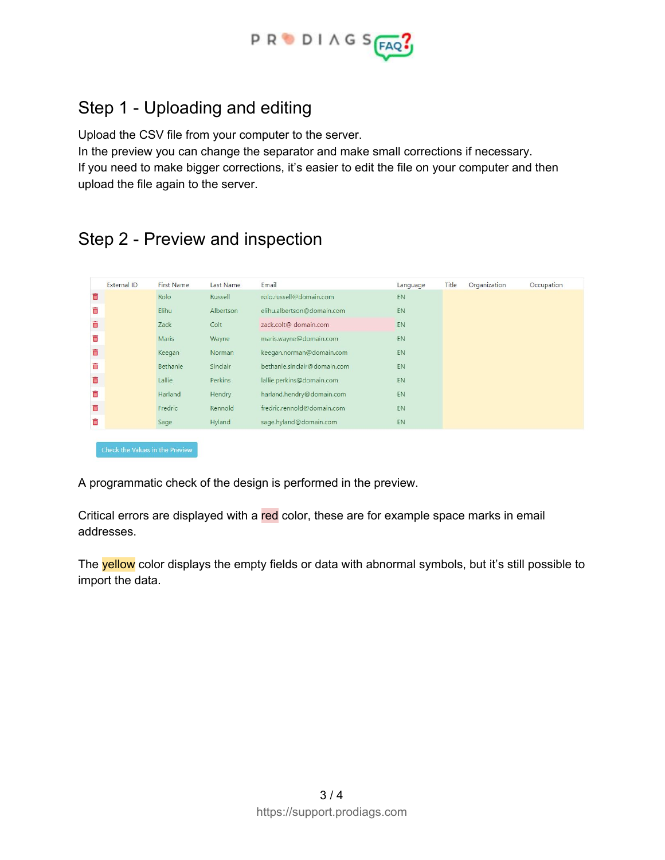

# Step 1 - Uploading and editing

Upload the CSV file from your computer to the server.

In the preview you can change the separator and make small corrections if necessary. If you need to make bigger corrections, it's easier to edit the file on your computer and then upload the file again to the server.

### Step 2 - Preview and inspection

| External ID | <b>First Name</b> | Last Name | Email                        | Language  | Title | Organization | Occupation |
|-------------|-------------------|-----------|------------------------------|-----------|-------|--------------|------------|
| ŵ           | Rolo              | Russell   | rolo.russell@domain.com      | EN        |       |              |            |
| m           | <b>Elihu</b>      | Albertson | elihu.albertson@domain.com   | <b>EN</b> |       |              |            |
| 面           | Zack              | Colt      | zack.colt@ domain.com        | EN        |       |              |            |
| ŵ           | Maris             | Wayne     | maris.wayne@domain.com       | EN        |       |              |            |
| 面           | Keegan            | Norman    | keegan.norman@domain.com     | EN        |       |              |            |
| Ŵ           | Bethanie          | Sinclair  | bethanie.sinclair@domain.com | EN        |       |              |            |
| 面           | Lallie            | Perkins   | lallie.perkins@domain.com    | <b>EN</b> |       |              |            |
| ŵ           | Harland           | Hendry    | harland.hendry@domain.com    | EN        |       |              |            |
| 面           | Fredric           | Rennold   | fredric.rennold@domain.com   | EN        |       |              |            |
| ŵ           | Sage              | Hyland    | sage.hyland@domain.com       | EN        |       |              |            |

A programmatic check of the design is performed in the preview.

Critical errors are displayed with a red color, these are for example space marks in email addresses.

The yellow color displays the empty fields or data with abnormal symbols, but it's still possible to import the data.